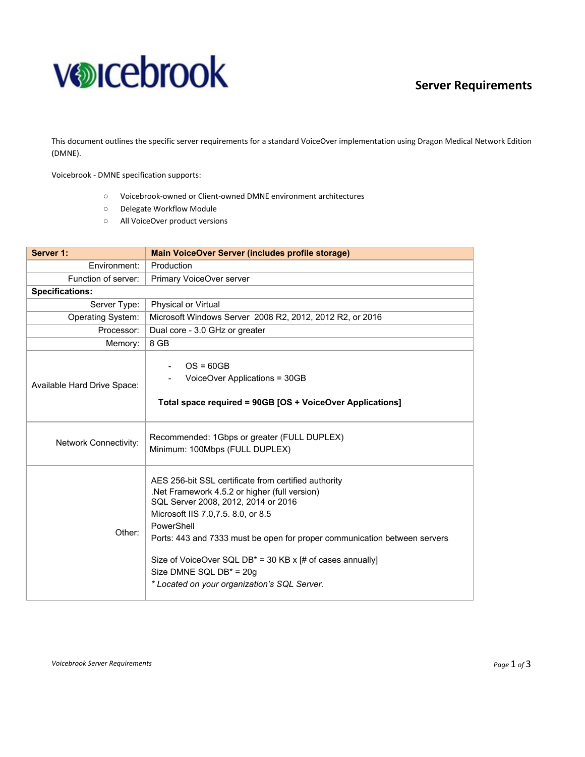## **vocebrook**

### **Server Requirements**

This document outlines the specific server requirements for a standard VoiceOver implementation using Dragon Medical Network Edition (DMNE).

Voicebrook - DMNE specification supports:

- Voicebrook-owned or Client-owned DMNE environment architectures
- Delegate Workflow Module
- All VoiceOver product versions

| Server 1:                    | Main VoiceOver Server (includes profile storage)                                                                                                                                                                                                                                                                                                                                                                         |  |
|------------------------------|--------------------------------------------------------------------------------------------------------------------------------------------------------------------------------------------------------------------------------------------------------------------------------------------------------------------------------------------------------------------------------------------------------------------------|--|
| Environment:                 | Production                                                                                                                                                                                                                                                                                                                                                                                                               |  |
| Function of server:          | Primary VoiceOver server                                                                                                                                                                                                                                                                                                                                                                                                 |  |
| <b>Specifications:</b>       |                                                                                                                                                                                                                                                                                                                                                                                                                          |  |
| Server Type:                 | <b>Physical or Virtual</b>                                                                                                                                                                                                                                                                                                                                                                                               |  |
| Operating System:            | Microsoft Windows Server 2008 R2, 2012, 2012 R2, or 2016                                                                                                                                                                                                                                                                                                                                                                 |  |
| Processor:                   | Dual core - 3.0 GHz or greater                                                                                                                                                                                                                                                                                                                                                                                           |  |
| Memory:                      | 8 GB                                                                                                                                                                                                                                                                                                                                                                                                                     |  |
| Available Hard Drive Space:  | $OS = 60GB$<br>VoiceOver Applications = 30GB<br>Total space required = 90GB [OS + VoiceOver Applications]                                                                                                                                                                                                                                                                                                                |  |
| <b>Network Connectivity:</b> | Recommended: 1Gbps or greater (FULL DUPLEX)<br>Minimum: 100Mbps (FULL DUPLEX)                                                                                                                                                                                                                                                                                                                                            |  |
| Other:                       | AES 256-bit SSL certificate from certified authority<br>Net Framework 4.5.2 or higher (full version).<br>SQL Server 2008, 2012, 2014 or 2016<br>Microsoft IIS 7.0, 7.5. 8.0, or 8.5<br>PowerShell<br>Ports: 443 and 7333 must be open for proper communication between servers<br>Size of VoiceOver SQL DB* = 30 KB x [# of cases annually]<br>Size DMNE SQL $DB* = 20g$<br>* Located on your organization's SQL Server. |  |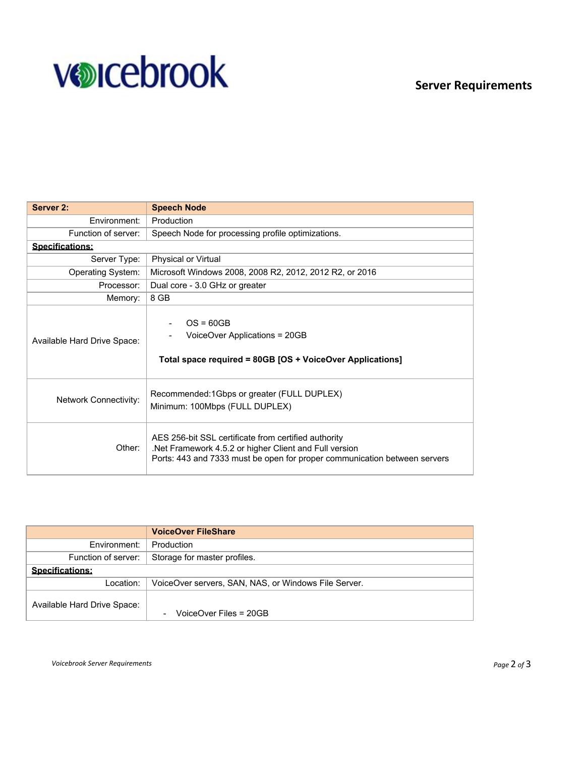# **vocebrook**

### **Server Requirements**

| Server 2:                    | <b>Speech Node</b>                                                                                                                                                                         |  |
|------------------------------|--------------------------------------------------------------------------------------------------------------------------------------------------------------------------------------------|--|
| Environment:                 | Production                                                                                                                                                                                 |  |
| Function of server:          | Speech Node for processing profile optimizations.                                                                                                                                          |  |
| <b>Specifications:</b>       |                                                                                                                                                                                            |  |
| Server Type:                 | Physical or Virtual                                                                                                                                                                        |  |
| <b>Operating System:</b>     | Microsoft Windows 2008, 2008 R2, 2012, 2012 R2, or 2016                                                                                                                                    |  |
| Processor:                   | Dual core - 3.0 GHz or greater                                                                                                                                                             |  |
| Memory:                      | 8 GB                                                                                                                                                                                       |  |
| Available Hard Drive Space:  | $OS = 60GB$<br>VoiceOver Applications = 20GB<br>Total space required = 80GB [OS + VoiceOver Applications]                                                                                  |  |
| <b>Network Connectivity:</b> | Recommended: 1 Gbps or greater (FULL DUPLEX)<br>Minimum: 100Mbps (FULL DUPLEX)                                                                                                             |  |
| Other:                       | AES 256-bit SSL certificate from certified authority<br>Net Framework 4.5.2 or higher Client and Full version<br>Ports: 443 and 7333 must be open for proper communication between servers |  |

|                             | <b>VoiceOver FileShare</b>                           |  |
|-----------------------------|------------------------------------------------------|--|
| Fnvironment:                | Production                                           |  |
| Function of server:         | Storage for master profiles.                         |  |
| <b>Specifications:</b>      |                                                      |  |
| Location:                   | VoiceOver servers, SAN, NAS, or Windows File Server. |  |
| Available Hard Drive Space: | VoiceOver Files = $20GB$                             |  |

*Voicebrook Server Requirements Page* 2 *of* 3